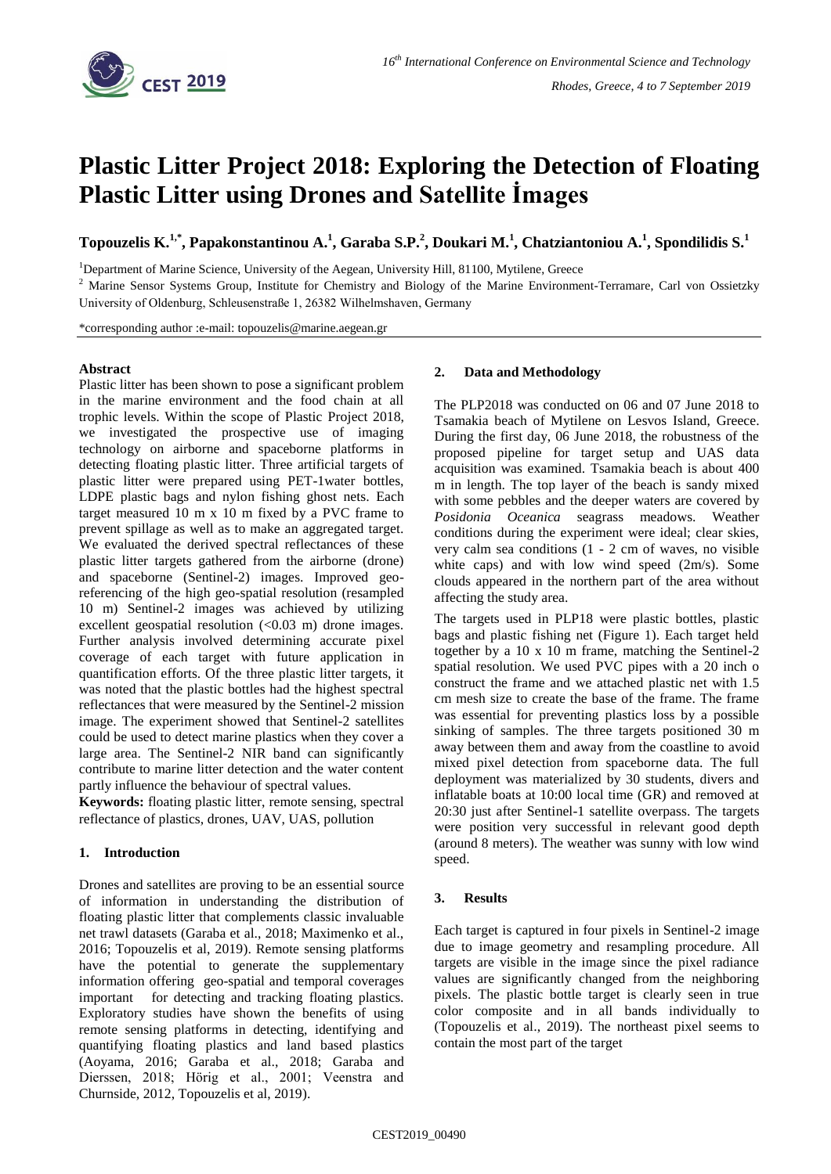

# **Plastic Litter Project 2018: Exploring the Detection of Floating Plastic Litter using Drones and Satellite İmages**

**Topouzelis K. 1,\* , Papakonstantinou A. 1 , Garaba S.P.<sup>2</sup> , Doukari M. 1 , Chatziantoniou A.<sup>1</sup> , Spondilidis S.<sup>1</sup>**

<sup>1</sup>Department of Marine Science, University of the Aegean, University Hill, 81100, Mytilene, Greece

<sup>2</sup> Marine Sensor Systems Group, Institute for Chemistry and Biology of the Marine Environment-Terramare, Carl von Ossietzky University of Oldenburg, Schleusenstraße 1, 26382 Wilhelmshaven, Germany

\*corresponding author :e-mail: topouzelis@marine.aegean.gr

### **Abstract**

Plastic litter has been shown to pose a significant problem in the marine environment and the food chain at all trophic levels. Within the scope of Plastic Project 2018, we investigated the prospective use of imaging technology on airborne and spaceborne platforms in detecting floating plastic litter. Three artificial targets of plastic litter were prepared using PET-1water bottles, LDPE plastic bags and nylon fishing ghost nets. Each target measured 10 m x 10 m fixed by a PVC frame to prevent spillage as well as to make an aggregated target. We evaluated the derived spectral reflectances of these plastic litter targets gathered from the airborne (drone) and spaceborne (Sentinel-2) images. Improved georeferencing of the high geo-spatial resolution (resampled 10 m) Sentinel-2 images was achieved by utilizing excellent geospatial resolution  $( $0.03$  m) drone images.$ Further analysis involved determining accurate pixel coverage of each target with future application in quantification efforts. Of the three plastic litter targets, it was noted that the plastic bottles had the highest spectral reflectances that were measured by the Sentinel-2 mission image. The experiment showed that Sentinel-2 satellites could be used to detect marine plastics when they cover a large area. The Sentinel-2 NIR band can significantly contribute to marine litter detection and the water content partly influence the behaviour of spectral values.

**Keywords:** floating plastic litter, remote sensing, spectral reflectance of plastics, drones, UAV, UAS, pollution

## **1. Introduction**

Drones and satellites are proving to be an essential source of information in understanding the distribution of floating plastic litter that complements classic invaluable net trawl datasets (Garaba et al., 2018; Maximenko et al., 2016; Topouzelis et al, 2019). Remote sensing platforms have the potential to generate the supplementary information offering geo-spatial and temporal coverages important for detecting and tracking floating plastics. Exploratory studies have shown the benefits of using remote sensing platforms in detecting, identifying and quantifying floating plastics and land based plastics (Aoyama, 2016; Garaba et al., 2018; Garaba and Dierssen, 2018; Hörig et al., 2001; Veenstra and Churnside, 2012, Topouzelis et al, 2019).

### **2. Data and Methodology**

The PLP2018 was conducted on 06 and 07 June 2018 to Tsamakia beach of Mytilene on Lesvos Island, Greece. During the first day, 06 June 2018, the robustness of the proposed pipeline for target setup and UAS data acquisition was examined. Tsamakia beach is about 400 m in length. The top layer of the beach is sandy mixed with some pebbles and the deeper waters are covered by *Posidonia Oceanica* seagrass meadows. Weather conditions during the experiment were ideal; clear skies, very calm sea conditions (1 - 2 cm of waves, no visible white caps) and with low wind speed (2m/s). Some clouds appeared in the northern part of the area without affecting the study area.

The targets used in PLP18 were plastic bottles, plastic bags and plastic fishing net (Figure 1). Each target held together by a 10 x 10 m frame, matching the Sentinel-2 spatial resolution. We used PVC pipes with a 20 inch o construct the frame and we attached plastic net with 1.5 cm mesh size to create the base of the frame. The frame was essential for preventing plastics loss by a possible sinking of samples. The three targets positioned 30 m away between them and away from the coastline to avoid mixed pixel detection from spaceborne data. The full deployment was materialized by 30 students, divers and inflatable boats at 10:00 local time (GR) and removed at 20:30 just after Sentinel-1 satellite overpass. The targets were position very successful in relevant good depth (around 8 meters). The weather was sunny with low wind speed.

## **3. Results**

Each target is captured in four pixels in Sentinel-2 image due to image geometry and resampling procedure. All targets are visible in the image since the pixel radiance values are significantly changed from the neighboring pixels. The plastic bottle target is clearly seen in true color composite and in all bands individually to (Topouzelis et al., 2019). The northeast pixel seems to contain the most part of the target